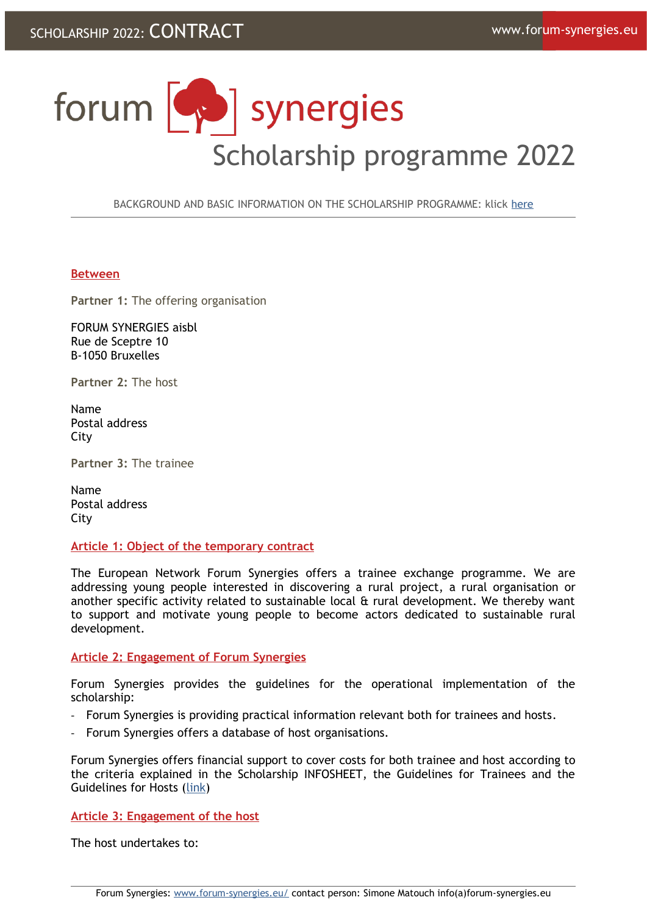# forum [ ] synergies Scholarship programme 2022

BACKGROUND AND BASIC INFORMATION ON THE SCHOLARSHIP PROGRAMME: klick [here](http://www.forum-synergies.eu/article154.html)

## **Between**

**Partner 1:** The offering organisation

FORUM SYNERGIES aisbl Rue de Sceptre 10 B-1050 Bruxelles

**Partner 2:** The host

Name Postal address City

**Partner 3:** The trainee

Name Postal address **City** 

**Article 1: Object of the temporary contract**

The European Network Forum Synergies offers a trainee exchange programme. We are addressing young people interested in discovering a rural project, a rural organisation or another specific activity related to sustainable local & rural development. We thereby want to support and motivate young people to become actors dedicated to sustainable rural development.

## **Article 2: Engagement of Forum Synergies**

Forum Synergies provides the guidelines for the operational implementation of the scholarship:

- Forum Synergies is providing practical information relevant both for trainees and hosts.
- Forum Synergies offers a database of host organisations.

Forum Synergies offers financial support to cover costs for both trainee and host according to the criteria explained in the Scholarship INFOSHEET, the Guidelines for Trainees and the Guidelines for Hosts [\(link](http://www.forum-synergies.eu/article154.html))

**Article 3: Engagement of the host**

The host undertakes to: